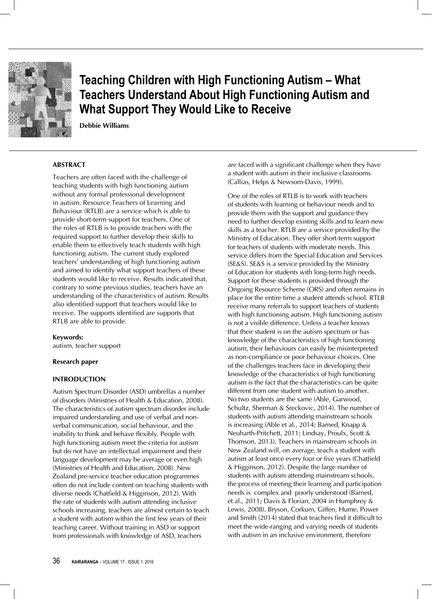

**Teaching Children with High Functioning Autism – What Teachers Understand About High Functioning Autism and What Support They Would Like to Receive**

**Debbie Williams**

### **ABSTRACT**

Teachers are often faced with the challenge of teaching students with high functioning autism without any formal professional development in autism. Resource Teachers of Learning and Behaviour (RTLB) are a service which is able to provide short-term support for teachers. One of the roles of RTLB is to provide teachers with the required support to further develop their skills to enable them to effectively teach students with high functioning autism. The current study explored teachers' understanding of high functioning autism and aimed to identify what support teachers of these students would like to receive. Results indicated that, contrary to some previous studies, teachers have an understanding of the characteristics of autism. Results also identified support that teachers would like to receive. The supports identified are supports that RTLB are able to provide.

### **Keywords:**

autism, teacher support

#### **Research paper**

#### **INTRODUCTION**

Autism Spectrum Disorder (ASD) umbrellas a number of disorders (Ministries of Health & Education, 2008). The characteristics of autism spectrum disorder include impaired understanding and use of verbal and nonverbal communication, social behaviour, and the inability to think and behave flexibly. People with high functioning autism meet the criteria for autism but do not have an intellectual impairment and their language development may be average or even high (Ministries of Health and Education, 2008). New Zealand pre-service teacher education programmes often do not include content on teaching students with diverse needs (Chatfield & Higginson, 2012). With the rate of students with autism attending inclusive schools increasing, teachers are almost certain to teach a student with autism within the first few years of their teaching career. Without training in ASD or support from professionals with knowledge of ASD, teachers

are faced with a significant challenge when they have a student with autism in their inclusive classrooms (Callias, Helps & Newsom-Davis, 1999).

One of the roles of RTLB is to work with teachers of students with learning or behaviour needs and to provide them with the support and guidance they need to further develop existing skills and to learn new skills as a teacher. RTLB are a service provided by the Ministry of Education. They offer short-term support for teachers of students with moderate needs. This service differs from the Special Education and Services (SE&S). SE&S is a service provided by the Ministry of Education for students with long-term high needs. Support for these students is provided through the Ongoing Resource Scheme (ORS) and often remains in place for the entire time a student attends school. RTLB receive many referrals to support teachers of students with high functioning autism. High functioning autism is not a visible difference. Unless a teacher knows that their student is on the autism spectrum or has knowledge of the characteristics of high functioning autism, their behaviours can easily be misinterpreted as non-compliance or poor behaviour choices. One of the challenges teachers face in developing their knowledge of the characteristics of high functioning autism is the fact that the characteristics can be quite different from one student with autism to another. No two students are the same (Able, Garwood, Schultz, Sherman & Sreckovic, 2014). The number of students with autism attending mainstream schools is increasing (Able et al., 2014; Barned, Knapp & Neuharth-Pritchett, 2011; Lindsay, Proulx, Scott & Thomson, 2013). Teachers in mainstream schools in New Zealand will, on average, teach a student with autism at least once every four or five years (Chatfield & Higginson, 2012). Despite the large number of students with autism attending mainstream schools, the process of meeting their learning and participation needs is complex and poorly understood (Barned, et al., 2011; Davis & Florian, 2004 in Humphrey & Lewis, 2008). Bryson, Corkum, Giffen, Hume, Power and Smith (2014) stated that teachers find it difficult to meet the wide-ranging and varying needs of students with autism in an inclusive environment, therefore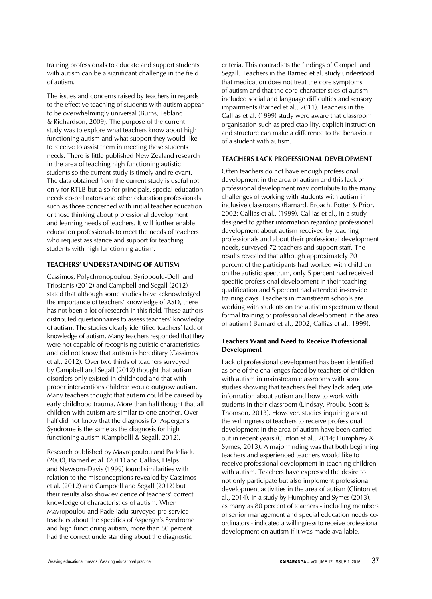training professionals to educate and support students with autism can be a significant challenge in the field of autism.

The issues and concerns raised by teachers in regards to the effective teaching of students with autism appear to be overwhelmingly universal (Burns, Leblanc & Richardson, 2009). The purpose of the current study was to explore what teachers know about high functioning autism and what support they would like to receive to assist them in meeting these students needs. There is little published New Zealand research in the area of teaching high functioning autistic students so the current study is timely and relevant. The data obtained from the current study is useful not only for RTLB but also for principals, special education needs co-ordinators and other education professionals such as those concerned with initial teacher education or those thinking about professional development and learning needs of teachers. It will further enable education professionals to meet the needs of teachers who request assistance and support for teaching students with high functioning autism.

# **TEACHERS' UNDERSTANDING OF AUTISM**

Cassimos, Polychronopoulou, Syriopoulu-Delli and Tripsianis (2012) and Campbell and Segall (2012) stated that although some studies have acknowledged the importance of teachers' knowledge of ASD, there has not been a lot of research in this field. These authors distributed questionnaires to assess teachers' knowledge of autism. The studies clearly identified teachers' lack of knowledge of autism. Many teachers responded that they were not capable of recognising autistic characteristics and did not know that autism is hereditary (Cassimos et al., 2012). Over two thirds of teachers surveyed by Campbell and Segall (2012) thought that autism disorders only existed in childhood and that with proper interventions children would outgrow autism. Many teachers thought that autism could be caused by early childhood trauma. More than half thought that all children with autism are similar to one another. Over half did not know that the diagnosis for Asperger's Syndrome is the same as the diagnosis for high functioning autism (Campbelll & Segall, 2012).

Research published by Mavropoulou and Padeliadu (2000), Barned et al. (2011) and Callias, Helps and Newsom-Davis (1999) found similarities with relation to the misconceptions revealed by Cassimos et al. (2012) and Campbell and Segall (2012) but their results also show evidence of teachers' correct knowledge of characteristics of autism. When Mavropoulou and Padeliadu surveyed pre-service teachers about the specifics of Asperger's Syndrome and high functioning autism, more than 80 percent had the correct understanding about the diagnostic

criteria. This contradicts the findings of Campell and Segall. Teachers in the Barned et al. study understood that medication does not treat the core symptoms of autism and that the core characteristics of autism included social and language difficulties and sensory impairments (Barned et al., 2011). Teachers in the Callias et al. (1999) study were aware that classroom organisation such as predictability, explicit instruction and structure can make a difference to the behaviour of a student with autism.

## **TEACHERS LACK PROFESSIONAL DEVELOPMENT**

Often teachers do not have enough professional development in the area of autism and this lack of professional development may contribute to the many challenges of working with students with autism in inclusive classrooms (Barnard, Broach, Potter & Prior, 2002; Callias et al., (1999). Callias et al., in a study designed to gather information regarding professional development about autism received by teaching professionals and about their professional development needs, surveyed 72 teachers and support staff. The results revealed that although approximately 70 percent of the participants had worked with children on the autistic spectrum, only 5 percent had received specific professional development in their teaching qualification and 5 percent had attended in-service training days. Teachers in mainstream schools are working with students on the autistim spectrum without formal training or professional development in the area of autism ( Barnard et al., 2002; Callias et al., 1999).

### **Teachers Want and Need to Receive Professional Development**

Lack of professional development has been identified as one of the challenges faced by teachers of children with autism in mainstream classrooms with some studies showing that teachers feel they lack adequate information about autism and how to work with students in their classroom (Lindsay, Proulx, Scott & Thomson, 2013). However, studies inquiring about the willingness of teachers to receive professional development in the area of autism have been carried out in recent years (Clinton et al., 2014; Humphrey & Symes, 2013). A major finding was that both beginning teachers and experienced teachers would like to receive professional development in teaching children with autism. Teachers have expressed the desire to not only participate but also implement professional development activities in the area of autism (Clinton et al., 2014). In a study by Humphrey and Symes (2013), as many as 80 percent of teachers - including members of senior management and special education needs coordinators - indicated a willingness to receive professional development on autism if it was made available.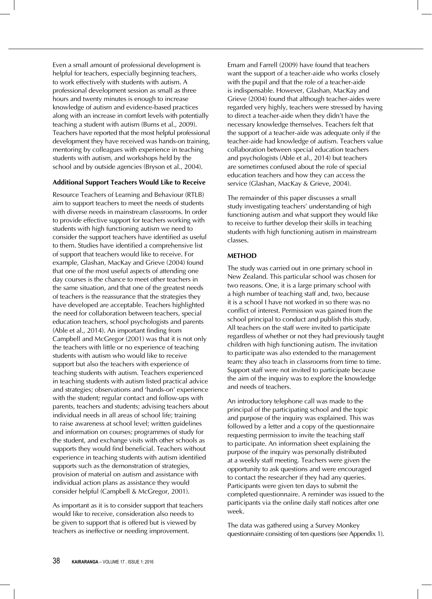Even a small amount of professional development is helpful for teachers, especially beginning teachers, to work effectively with students with autism. A professional development session as small as three hours and twenty minutes is enough to increase knowledge of autism and evidence-based practices along with an increase in comfort levels with potentially teaching a student with autism (Burns et al., 2009). Teachers have reported that the most helpful professional development they have received was hands-on training, mentoring by colleagues with experience in teaching students with autism, and workshops held by the school and by outside agencies (Bryson et al., 2004).

### **Additional Support Teachers Would Like to Receive**

Resource Teachers of Learning and Behaviour (RTLB) aim to support teachers to meet the needs of students with diverse needs in mainstream classrooms. In order to provide effective support for teachers working with students with high functioning autism we need to consider the support teachers have identified as useful to them. Studies have identified a comprehensive list of support that teachers would like to receive. For example, Glashan, MacKay and Grieve (2004) found that one of the most useful aspects of attending one day courses is the chance to meet other teachers in the same situation, and that one of the greatest needs of teachers is the reassurance that the strategies they have developed are acceptable. Teachers highlighted the need for collaboration between teachers, special education teachers, school psychologists and parents (Able et al., 2014). An important finding from Campbell and McGregor (2001) was that it is not only the teachers with little or no experience of teaching students with autism who would like to receive support but also the teachers with experience of teaching students with autism. Teachers experienced in teaching students with autism listed practical advice and strategies; observations and 'hands-on' experience with the student; regular contact and follow-ups with parents, teachers and students; advising teachers about individual needs in all areas of school life; training to raise awareness at school level; written guidelines and information on courses; programmes of study for the student, and exchange visits with other schools as supports they would find beneficial. Teachers without experience in teaching students with autism identified supports such as the demonstration of strategies, provision of material on autism and assistance with individual action plans as assistance they would consider helpful (Campbell & McGregor, 2001).

As important as it is to consider support that teachers would like to receive, consideration also needs to be given to support that is offered but is viewed by teachers as ineffective or needing improvement.

Emam and Farrell (2009) have found that teachers want the support of a teacher-aide who works closely with the pupil and that the role of a teacher-aide is indispensable. However, Glashan, MacKay and Grieve (2004) found that although teacher-aides were regarded very highly, teachers were stressed by having to direct a teacher-aide when they didn't have the necessary knowledge themselves. Teachers felt that the support of a teacher-aide was adequate only if the teacher-aide had knowledge of autism. Teachers value collaboration between special education teachers and psychologists (Able et al., 2014) but teachers are sometimes confused about the role of special education teachers and how they can access the service (Glashan, MacKay & Grieve, 2004).

The remainder of this paper discusses a small study investigating teachers' understanding of high functioning autism and what support they would like to receive to further develop their skills in teaching students with high functioning autism in mainstream classes.

### **METHOD**

The study was carried out in one primary school in New Zealand. This particular school was chosen for two reasons. One, it is a large primary school with a high number of teaching staff and, two, because it is a school I have not worked in so there was no conflict of interest. Permission was gained from the school principal to conduct and publish this study. All teachers on the staff were invited to participate regardless of whether or not they had previously taught children with high functioning autism. The invitation to participate was also extended to the management team: they also teach in classrooms from time to time. Support staff were not invited to participate because the aim of the inquiry was to explore the knowledge and needs of teachers.

An introductory telephone call was made to the principal of the participating school and the topic and purpose of the inquiry was explained. This was followed by a letter and a copy of the questionnaire requesting permission to invite the teaching staff to participate. An information sheet explaining the purpose of the inquiry was personally distributed at a weekly staff meeting. Teachers were given the opportunity to ask questions and were encouraged to contact the researcher if they had any queries. Participants were given ten days to submit the completed questionnaire. A reminder was issued to the participants via the online daily staff notices after one week.

The data was gathered using a Survey Monkey questionnaire consisting of ten questions (see Appendix 1).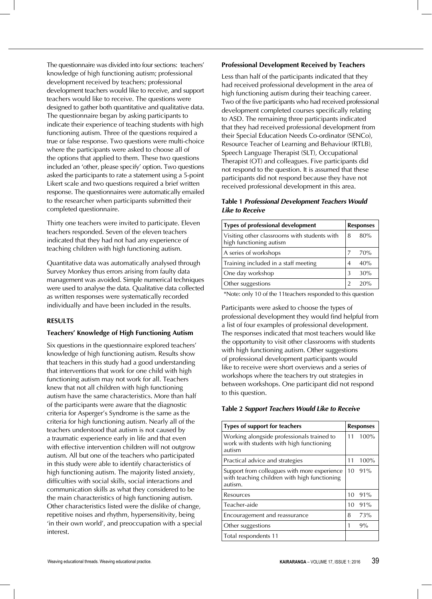The questionnaire was divided into four sections: teachers' knowledge of high functioning autism; professional development received by teachers; professional development teachers would like to receive, and support teachers would like to receive. The questions were designed to gather both quantitative and qualitative data. The questionnaire began by asking participants to indicate their experience of teaching students with high functioning autism. Three of the questions required a true or false response. Two questions were multi-choice where the participants were asked to choose all of the options that applied to them. These two questions included an 'other, please specify' option. Two questions asked the participants to rate a statement using a 5-point Likert scale and two questions required a brief written response. The questionnaires were automatically emailed to the researcher when participants submitted their completed questionnaire.

Thirty one teachers were invited to participate. Eleven teachers responded. Seven of the eleven teachers indicated that they had not had any experience of teaching children with high functioning autism.

Quantitative data was automatically analysed through Survey Monkey thus errors arising from faulty data management was avoided. Simple numerical techniques were used to analyse the data. Qualitative data collected as written responses were systematically recorded individually and have been included in the results.

### **RESULTS**

#### **Teachers' Knowledge of High Functioning Autism**

Six questions in the questionnaire explored teachers' knowledge of high functioning autism. Results show that teachers in this study had a good understanding that interventions that work for one child with high functioning autism may not work for all. Teachers knew that not all children with high functioning autism have the same characteristics. More than half of the participants were aware that the diagnostic criteria for Asperger's Syndrome is the same as the criteria for high functioning autism. Nearly all of the teachers understood that autism is not caused by a traumatic experience early in life and that even with effective intervention children will not outgrow autism. All but one of the teachers who participated in this study were able to identify characteristics of high functioning autism. The majority listed anxiety, difficulties with social skills, social interactions and communication skills as what they considered to be the main characteristics of high functioning autism. Other characteristics listed were the dislike of change, repetitive noises and rhythm, hypersensitivity, being 'in their own world', and preoccupation with a special interest.

#### **Professional Development Received by Teachers**

Less than half of the participants indicated that they had received professional development in the area of high functioning autism during their teaching career. Two of the five participants who had received professional development completed courses specifically relating to ASD. The remaining three participants indicated that they had received professional development from their Special Education Needs Co-ordinator (SENCo), Resource Teacher of Learning and Behaviour (RTLB), Speech Language Therapist (SLT), Occupational Therapist (OT) and colleagues. Five participants did not respond to the question. It is assumed that these participants did not respond because they have not received professional development in this area.

### **Table 1** *Professional Development Teachers Would Like to Receive*

| <b>Types of professional development</b>                                | <b>Responses</b> |     |
|-------------------------------------------------------------------------|------------------|-----|
| Visiting other classrooms with students with<br>high functioning autism | 8                | 80% |
| A series of workshops                                                   | 7                | 70% |
| Training included in a staff meeting                                    | 4                | 40% |
| One day workshop                                                        | 3                | 30% |
| Other suggestions                                                       |                  | 20% |

\*Note: only 10 of the 11teachers responded to this question

Participants were asked to choose the types of professional development they would find helpful from a list of four examples of professional development. The responses indicated that most teachers would like the opportunity to visit other classrooms with students with high functioning autism. Other suggestions of professional development participants would like to receive were short overviews and a series of workshops where the teachers try out strategies in between workshops. One participant did not respond to this question.

#### **Table 2** *Support Teachers Would Like to Receive*

| <b>Types of support for teachers</b>                                                                    | <b>Responses</b> |                |
|---------------------------------------------------------------------------------------------------------|------------------|----------------|
| Working alongside professionals trained to<br>work with students with high functioning<br>autism        | 11               | 100%           |
| Practical advice and strategies                                                                         | 11               | 100%           |
| Support from colleagues with more experience<br>with teaching children with high functioning<br>autism. |                  | $10 \t91\%$    |
| Resources                                                                                               |                  | $10\quad 91\%$ |
| Teacher-aide                                                                                            | 10               | 91%            |
| Encouragement and reassurance                                                                           | 8                | 73%            |
| Other suggestions                                                                                       | 1                | 9%             |
| Total respondents 11                                                                                    |                  |                |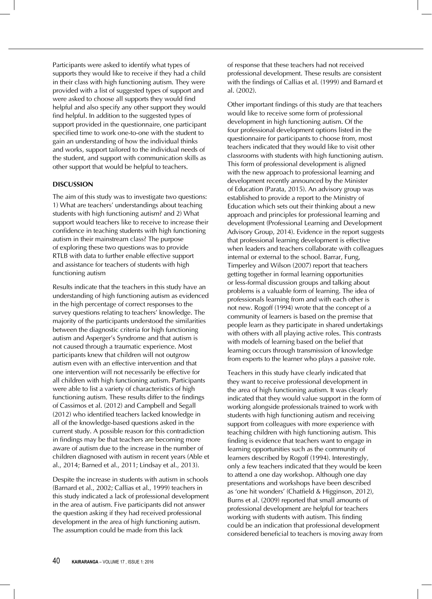Participants were asked to identify what types of supports they would like to receive if they had a child in their class with high functioning autism. They were provided with a list of suggested types of support and were asked to choose all supports they would find helpful and also specify any other support they would find helpful. In addition to the suggested types of support provided in the questionnaire, one participant specified time to work one-to-one with the student to gain an understanding of how the individual thinks and works, support tailored to the individual needs of the student, and support with communication skills as other support that would be helpful to teachers.

## **DISCUSSION**

The aim of this study was to investigate two questions: 1) What are teachers' understandings about teaching students with high functioning autism? and 2) What support would teachers like to receive to increase their confidence in teaching students with high functioning autism in their mainstream class? The purpose of exploring these two questions was to provide RTLB with data to further enable effective support and assistance for teachers of students with high functioning autism

Results indicate that the teachers in this study have an understanding of high functioning autism as evidenced in the high percentage of correct responses to the survey questions relating to teachers' knowledge. The majority of the participants understood the similarities between the diagnostic criteria for high functioning autism and Asperger's Syndrome and that autism is not caused through a traumatic experience. Most participants knew that children will not outgrow autism even with an effective intervention and that one intervention will not necessarily be effective for all children with high functioning autism. Participants were able to list a variety of characteristics of high functioning autism. These results differ to the findings of Cassimos et al. (2012) and Campbell and Segall (2012) who identified teachers lacked knowledge in all of the knowledge-based questions asked in the current study. A possible reason for this contradiction in findings may be that teachers are becoming more aware of autism due to the increase in the number of children diagnosed with autism in recent years (Able et al., 2014; Barned et al., 2011; Lindsay et al., 2013).

Despite the increase in students with autism in schools (Barnard et al., 2002; Callias et al., 1999) teachers in this study indicated a lack of professional development in the area of autism. Five participants did not answer the question asking if they had received professional development in the area of high functioning autism. The assumption could be made from this lack

of response that these teachers had not received professional development. These results are consistent with the findings of Callias et al. (1999) and Barnard et al. (2002).

Other important findings of this study are that teachers would like to receive some form of professional development in high functioning autism. Of the four professional development options listed in the questionnaire for participants to choose from, most teachers indicated that they would like to visit other classrooms with students with high functioning autism. This form of professional development is aligned with the new approach to professional learning and development recently announced by the Minister of Education (Parata, 2015). An advisory group was established to provide a report to the Ministry of Education which sets out their thinking about a new approach and principles for professional learning and development (Professional Learning and Development Advisory Group, 2014). Evidence in the report suggests that professional learning development is effective when leaders and teachers collaborate with colleagues internal or external to the school. Barrar, Fung, Timperley and Wilson (2007) report that teachers getting together in formal learning opportunities or less-formal discussion groups and talking about problems is a valuable form of learning. The idea of professionals learning from and with each other is not new. Rogoff (1994) wrote that the concept of a community of learners is based on the premise that people learn as they participate in shared undertakings with others with all playing active roles. This contrasts with models of learning based on the belief that learning occurs through transmission of knowledge from experts to the learner who plays a passive role.

Teachers in this study have clearly indicated that they want to receive professional development in the area of high functioning autism. It was clearly indicated that they would value support in the form of working alongside professionals trained to work with students with high functioning autism and receiving support from colleagues with more experience with teaching children with high functioning autism. This finding is evidence that teachers want to engage in learning opportunities such as the community of learners described by Rogoff (1994). Interestingly, only a few teachers indicated that they would be keen to attend a one day workshop. Although one day presentations and workshops have been described as 'one hit wonders' (Chatfield & Higginson, 2012), Burns et al. (2009) reported that small amounts of professional development are helpful for teachers working with students with autism. This finding could be an indication that professional development considered beneficial to teachers is moving away from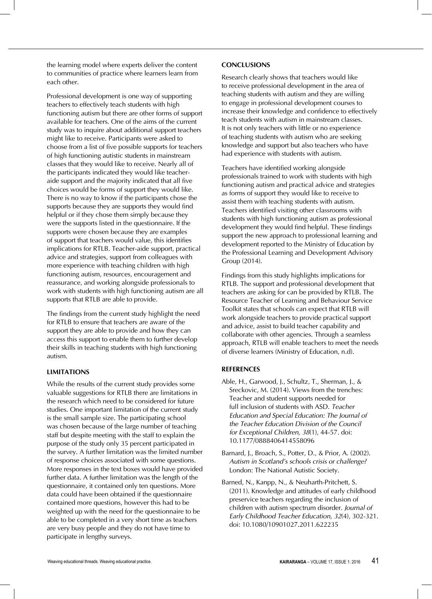the learning model where experts deliver the content to communities of practice where learners learn from each other.

Professional development is one way of supporting teachers to effectively teach students with high functioning autism but there are other forms of support available for teachers. One of the aims of the current study was to inquire about additional support teachers might like to receive. Participants were asked to choose from a list of five possible supports for teachers of high functioning autistic students in mainstream classes that they would like to receive. Nearly all of the participants indicated they would like teacheraide support and the majority indicated that all five choices would be forms of support they would like. There is no way to know if the participants chose the supports because they are supports they would find helpful or if they chose them simply because they were the supports listed in the questionnaire. If the supports were chosen because they are examples of support that teachers would value, this identifies implications for RTLB. Teacher-aide support, practical advice and strategies, support from colleagues with more experience with teaching children with high functioning autism, resources, encouragement and reassurance, and working alongside professionals to work with students with high functioning autism are all supports that RTLB are able to provide.

The findings from the current study highlight the need for RTLB to ensure that teachers are aware of the support they are able to provide and how they can access this support to enable them to further develop their skills in teaching students with high functioning autism.

### **LIMITATIONS**

While the results of the current study provides some valuable suggestions for RTLB there are limitations in the research which need to be considered for future studies. One important limitation of the current study is the small sample size. The participating school was chosen because of the large number of teaching staff but despite meeting with the staff to explain the purpose of the study only 35 percent participated in the survey. A further limitation was the limited number of response choices associated with some questions. More responses in the text boxes would have provided further data. A further limitation was the length of the questionnaire, it contained only ten questions. More data could have been obtained if the questionnaire contained more questions, however this had to be weighted up with the need for the questionnaire to be able to be completed in a very short time as teachers are very busy people and they do not have time to participate in lengthy surveys.

### **CONCLUSIONS**

Research clearly shows that teachers would like to receive professional development in the area of teaching students with autism and they are willing to engage in professional development courses to increase their knowledge and confidence to effectively teach students with autism in mainstream classes. It is not only teachers with little or no experience of teaching students with autism who are seeking knowledge and support but also teachers who have had experience with students with autism.

Teachers have identified working alongside professionals trained to work with students with high functioning autism and practical advice and strategies as forms of support they would like to receive to assist them with teaching students with autism. Teachers identified visiting other classrooms with students with high functioning autism as professional development they would find helpful. These findings support the new approach to professional learning and development reported to the Ministry of Education by the Professional Learning and Development Advisory Group (2014).

Findings from this study highlights implications for RTLB. The support and professional development that teachers are asking for can be provided by RTLB. The Resource Teacher of Learning and Behaviour Service Toolkit states that schools can expect that RTLB will work alongside teachers to provide practical support and advice, assist to build teacher capability and collaborate with other agencies. Through a seamless approach, RTLB will enable teachers to meet the needs of diverse learners (Ministry of Education, n.d).

#### **REFERENCES**

- Able, H., Garwood, J., Schultz, T., Sherman, J., & Sreckovic, M. (2014). Views from the trenches: Teacher and student supports needed for full inclusion of students with ASD. *Teacher Education and Special Education: The Journal of the Teacher Education Division of the Council for Exceptional Children, 38*(1), 44-57. doi: 10.1177/0888406414558096
- Barnard, J., Broach, S., Potter, D., & Prior, A. (2002). *Autism in Scotland's schools crisis or challenge?*  London: The National Autistic Society.
- Barned, N., Kanpp, N., & Neuharth-Pritchett, S. (2011). Knowledge and attitudes of early childhood preservice teachers regarding the inclusion of children with autism spectrum disorder. *Journal of Early Childhood Teacher Education, 32*(4), 302-321. doi: 10.1080/10901027.2011.622235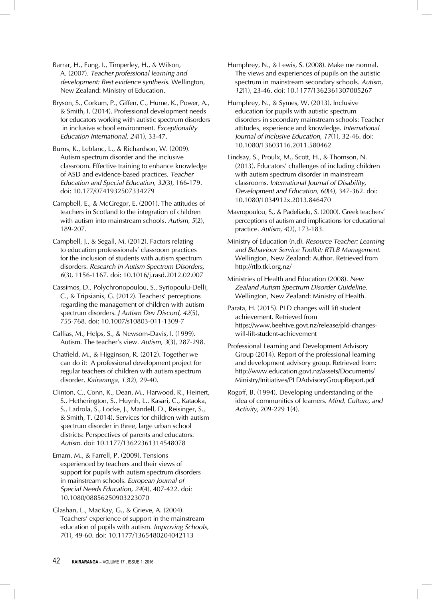Barrar, H., Fung, I., Timperley, H., & Wilson, A. (2007). *Teacher professional learning and development: Best evidence synthesis.* Wellington, New Zealand: Ministry of Education.

Bryson, S., Corkum, P., Giffen, C., Hume, K., Power, A., & Smith, I. (2014). Professional development needs for educators working with autistic spectrum disorders in inclusive school environment. *Exceptionality Education International, 24*(1), 33-47.

Burns, K., Leblanc, L., & Richardson, W. (2009). Autism spectrum disorder and the inclusive classroom. Effective training to enhance knowledge of ASD and evidence-based practices. *Teacher Education and Special Education, 32*(3), 166-179. doi: 10.177/0741932507334279

Campbell, E., & McGregor, E. (2001). The attitudes of teachers in Scotland to the integration of children with autism into mainstream schools. *Autism, 5*(2), 189-207.

Campbell, J., & Segall, M. (2012). Factors relating to education professsionals' classroom practices for the inclusion of students with autism spectrum disorders. *Research in Autism Spectrum Disorders, 6*(3), 1156-1167. doi: 10.1016/j.rasd.2012.02.007

Cassimos, D., Polychronopoulou, S., Syriopoulu-Delli, C., & Tripsianis, G. (2012). Teachers' perceptions regarding the management of children with autism spectrum disorders. *J Autism Dev Discord, 42*(5), 755-768. doi: 10.1007/s10803-011-1309-7

Callias, M., Helps, S., & Newsom-Davis, I. (1999). Autism. The teacher's view. *Autism, 3*(3), 287-298.

Chatfield, M., & Higginson, R. (2012). Together we can do it: A professional development project for regular teachers of children with autism spectrum disorder. *Kairaranga, 13*(2), 29-40.

Clinton, C., Conn, K., Dean, M., Harwood, R., Heinert, S., Hetherington, S., Huynh, L., Kasari, C., Kataoka, S., Ladrola, S., Locke, J., Mandell, D., Reisinger, S., & Smith, T. (2014). Services for children with autism spectrum disorder in three, large urban school districts: Perspectives of parents and educators. *Autism.* doi: 10.1177/13622361314548078

Emam, M., & Farrell, P. (2009). Tensions experienced by teachers and their views of support for pupils with autism spectrum disorders in mainstream schools. *European Journal of Special Needs Education, 24*(4), 407-422. doi: 10.1080/08856250903223070

Glashan, L., MacKay, G., & Grieve, A. (2004). Teachers' experience of support in the mainstream education of pupils with autism. *Improving Schools, 7*(1), 49-60. doi: 10.1177/1365480204042113

Humphrey, N., & Lewis, S. (2008). Make me normal. The views and experiences of pupils on the autistic spectrum in mainstream secondary schools. *Autism, 12*(1), 23-46. doi: 10.1177/1362361307085267

Humphrey, N., & Symes, W. (2013). Inclusive education for pupils with autistic spectrum disorders in secondary mainstream schools: Teacher attitudes, experience and knowledge. *International Journal of Inclusive Education, 17*(1), 32-46. doi: 10.1080/13603116.2011.580462

Lindsay, S., Proulx, M., Scott, H., & Thomson, N. (2013). Educators' challenges of including children with autism spectrum disorder in mainstream classrooms. *International Journal of Disability, Development and Education, 60*(4), 347-362. doi: 10.1080/1034912x.2013.846470

Mavropoulou, S., & Padeliadu, S. (2000). Greek teachers' perceptions of autism and implications for educational practice. *Autism, 4*(2), 173-183.

Ministry of Education (n.d). *Resource Teacher: Learning and Behaviour Service Toolkit: RTLB Management.* Wellington, New Zealand: Author. Retrieved from http://rtlb.tki.org.nz/

Ministries of Health and Education (2008). *New Zealand Autism Spectrum Disorder Guideline.*  Wellington, New Zealand: Ministry of Health.

Parata, H. (2015). PLD changes will lift student achievement. Retrieved from https://www.beehive.govt.nz/release/pld-changeswill-lift-student-achievement

Professional Learning and Development Advisory Group (2014). Report of the professional learning and development advisory group. Retrieved from: http://www.education.govt.nz/assets/Documents/ Ministry/Initiatives/PLDAdvisoryGroupReport.pdf

Rogoff, B. (1994). Developing understanding of the idea of communities of learners. *Mind, Culture, and Activity*, 209-229 1(4).